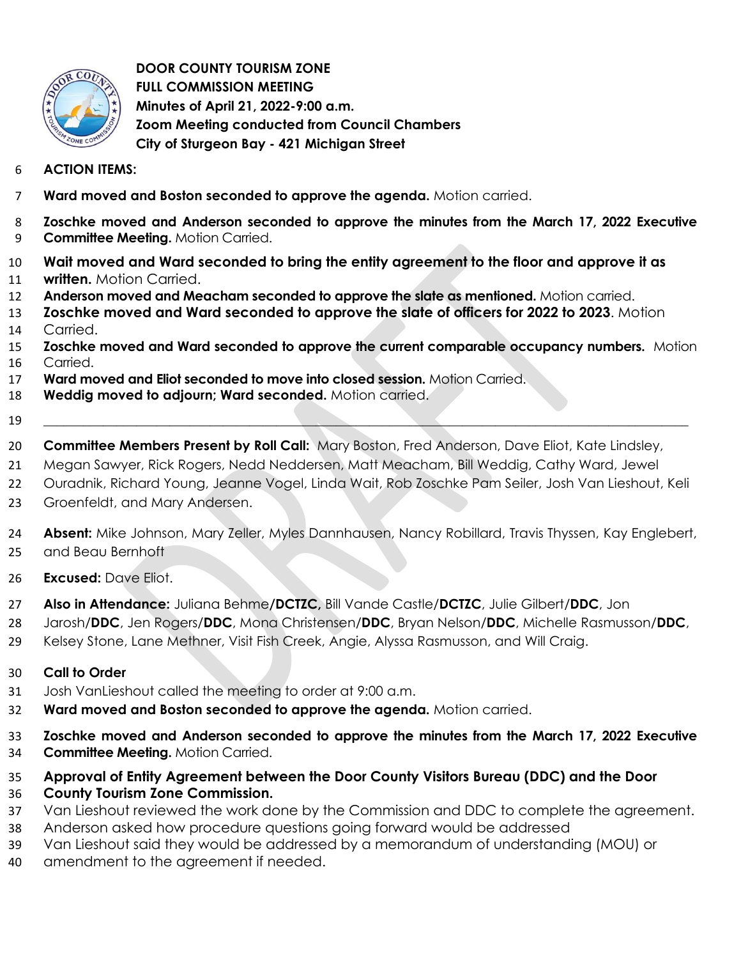

 **DOOR COUNTY TOURISM ZONE FULL COMMISSION MEETING Minutes of April 21, 2022-9:00 a.m. Zoom Meeting conducted from Council Chambers City of Sturgeon Bay - 421 Michigan Street** 

- **ACTION ITEMS:**
- **Ward moved and Boston seconded to approve the agenda.** Motion carried.
- **Zoschke moved and Anderson seconded to approve the minutes from the March 17, 2022 Executive Committee Meeting.** Motion Carried.
- **Wait moved and Ward seconded to bring the entity agreement to the floor and approve it as written.** Motion Carried.
- **Anderson moved and Meacham seconded to approve the slate as mentioned.** Motion carried.
- **Zoschke moved and Ward seconded to approve the slate of officers for 2022 to 2023**. Motion Carried.
- **Zoschke moved and Ward seconded to approve the current comparable occupancy numbers.** Motion Carried.
- **Ward moved and Eliot seconded to move into closed session.** Motion Carried.
- **Weddig moved to adjourn; Ward seconded.** Motion carried.
- \_\_\_\_\_\_\_\_\_\_\_\_\_\_\_\_\_\_\_\_\_\_\_\_\_\_\_\_\_\_\_\_\_\_\_\_\_\_\_\_\_\_\_\_\_\_\_\_\_\_\_\_\_\_\_\_\_\_\_\_\_\_\_\_\_\_\_\_\_\_\_\_\_\_\_\_\_\_\_\_\_\_\_\_\_\_\_\_\_\_\_\_\_\_\_\_\_
- **Committee Members Present by Roll Call:** Mary Boston, Fred Anderson, Dave Eliot, Kate Lindsley,
- Megan Sawyer, Rick Rogers, Nedd Neddersen, Matt Meacham, Bill Weddig, Cathy Ward, Jewel
- Ouradnik, Richard Young, Jeanne Vogel, Linda Wait, Rob Zoschke Pam Seiler, Josh Van Lieshout, Keli
- Groenfeldt, and Mary Andersen.

**Absent:** Mike Johnson, Mary Zeller, Myles Dannhausen, Nancy Robillard, Travis Thyssen, Kay Englebert,

- and Beau Bernhoft
- **Excused:** Dave Eliot.
- **Also in Attendance:** Juliana Behme**/DCTZC,** Bill Vande Castle/**DCTZC**, Julie Gilbert/**DDC**, Jon
- Jarosh/**DDC**, Jen Rogers/**DDC**, Mona Christensen/**DDC**, Bryan Nelson/**DDC**, Michelle Rasmusson/**DDC**,
- Kelsey Stone, Lane Methner, Visit Fish Creek, Angie, Alyssa Rasmusson, and Will Craig.

# **Call to Order**

- Josh VanLieshout called the meeting to order at 9:00 a.m.
- **Ward moved and Boston seconded to approve the agenda.** Motion carried.
- **Zoschke moved and Anderson seconded to approve the minutes from the March 17, 2022 Executive Committee Meeting.** Motion Carried.

#### **Approval of Entity Agreement between the Door County Visitors Bureau (DDC) and the Door County Tourism Zone Commission.**

- Van Lieshout reviewed the work done by the Commission and DDC to complete the agreement.
- Anderson asked how procedure questions going forward would be addressed
- Van Lieshout said they would be addressed by a memorandum of understanding (MOU) or
- amendment to the agreement if needed.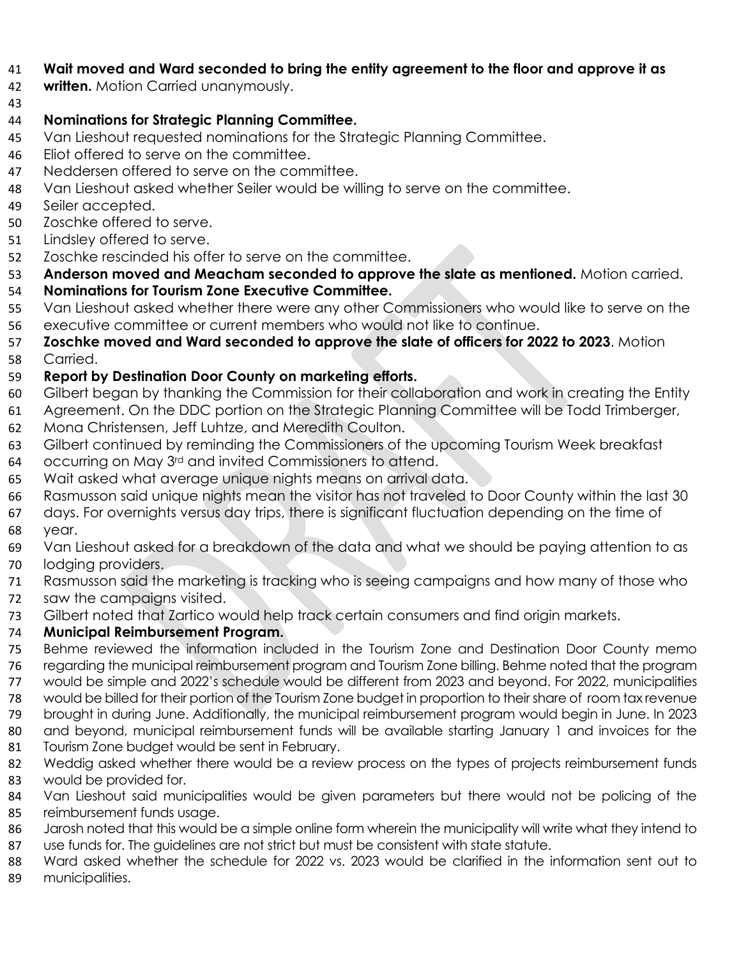# **Wait moved and Ward seconded to bring the entity agreement to the floor and approve it as**

- **written.** Motion Carried unanymously.
- 

# **Nominations for Strategic Planning Committee.**

- 45 Van Lieshout requested nominations for the Strategic Planning Committee.
- Eliot offered to serve on the committee.
- Neddersen offered to serve on the committee.
- Van Lieshout asked whether Seiler would be willing to serve on the committee.
- Seiler accepted.
- Zoschke offered to serve.
- Lindsley offered to serve.
- Zoschke rescinded his offer to serve on the committee.
- **Anderson moved and Meacham seconded to approve the slate as mentioned.** Motion carried.
- **Nominations for Tourism Zone Executive Committee.**
- Van Lieshout asked whether there were any other Commissioners who would like to serve on the executive committee or current members who would not like to continue.
- **Zoschke moved and Ward seconded to approve the slate of officers for 2022 to 2023**. Motion Carried.
- **Report by Destination Door County on marketing efforts.**
- Gilbert began by thanking the Commission for their collaboration and work in creating the Entity
- Agreement. On the DDC portion on the Strategic Planning Committee will be Todd Trimberger,
- Mona Christensen, Jeff Luhtze, and Meredith Coulton.
- Gilbert continued by reminding the Commissioners of the upcoming Tourism Week breakfast
- occurring on May 3rd and invited Commissioners to attend.
- Wait asked what average unique nights means on arrival data.
- Rasmusson said unique nights mean the visitor has not traveled to Door County within the last 30
- days. For overnights versus day trips, there is significant fluctuation depending on the time of year.
- Van Lieshout asked for a breakdown of the data and what we should be paying attention to as lodging providers.
- Rasmusson said the marketing is tracking who is seeing campaigns and how many of those who saw the campaigns visited.
- Gilbert noted that Zartico would help track certain consumers and find origin markets.

# **Municipal Reimbursement Program.**

- Behme reviewed the information included in the Tourism Zone and Destination Door County memo regarding the municipal reimbursement program and Tourism Zone billing. Behme noted that the program
- would be simple and 2022's schedule would be different from 2023 and beyond. For 2022, municipalities
- would be billed for their portion of the Tourism Zone budget in proportion to their share of room tax revenue
- brought in during June. Additionally, the municipal reimbursement program would begin in June. In 2023
- and beyond, municipal reimbursement funds will be available starting January 1 and invoices for the Tourism Zone budget would be sent in February.
- 82 Weddig asked whether there would be a review process on the types of projects reimbursement funds would be provided for.
- Van Lieshout said municipalities would be given parameters but there would not be policing of the reimbursement funds usage.
- Jarosh noted that this would be a simple online form wherein the municipality will write what they intend to
- 87 use funds for. The guidelines are not strict but must be consistent with state statute.
- Ward asked whether the schedule for 2022 vs. 2023 would be clarified in the information sent out to municipalities.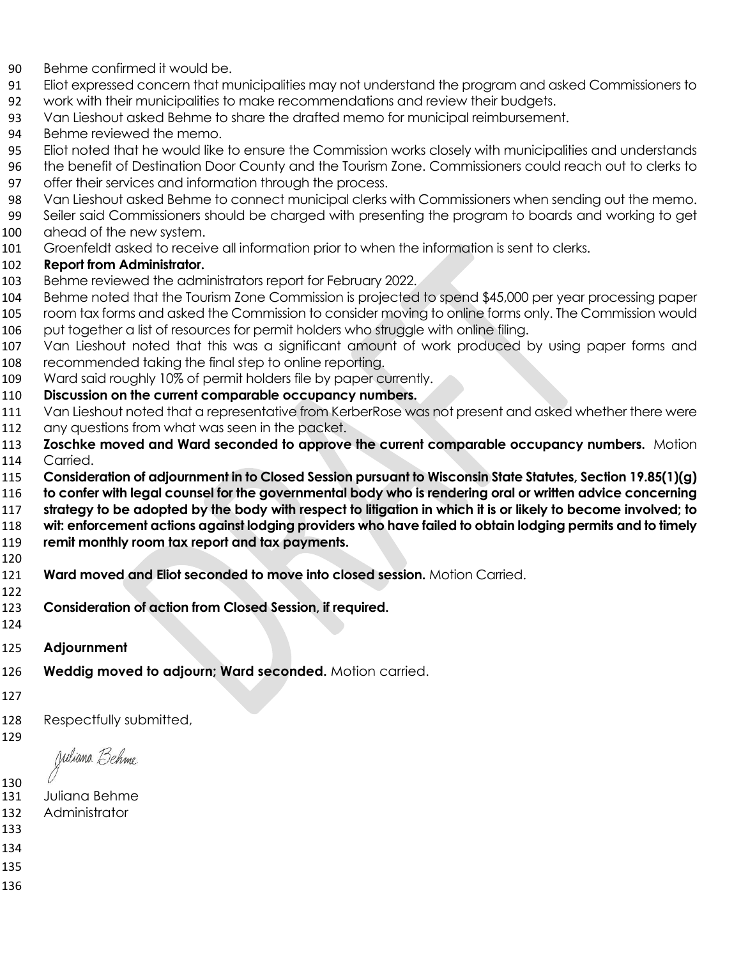- Behme confirmed it would be.
- Eliot expressed concern that municipalities may not understand the program and asked Commissioners to
- work with their municipalities to make recommendations and review their budgets.
- Van Lieshout asked Behme to share the drafted memo for municipal reimbursement.
- Behme reviewed the memo.
- Eliot noted that he would like to ensure the Commission works closely with municipalities and understands
- the benefit of Destination Door County and the Tourism Zone. Commissioners could reach out to clerks to
- offer their services and information through the process.
- Van Lieshout asked Behme to connect municipal clerks with Commissioners when sending out the memo.
- Seiler said Commissioners should be charged with presenting the program to boards and working to get ahead of the new system.
- Groenfeldt asked to receive all information prior to when the information is sent to clerks.

### **Report from Administrator.**

- Behme reviewed the administrators report for February 2022.
- Behme noted that the Tourism Zone Commission is projected to spend \$45,000 per year processing paper
- room tax forms and asked the Commission to consider moving to online forms only. The Commission would
- 106 put together a list of resources for permit holders who struggle with online filing.
- Van Lieshout noted that this was a significant amount of work produced by using paper forms and recommended taking the final step to online reporting.
- 109 Ward said roughly 10% of permit holders file by paper currently.
- **Discussion on the current comparable occupancy numbers.**
- Van Lieshout noted that a representative from KerberRose was not present and asked whether there were
- any questions from what was seen in the packet.
- **Zoschke moved and Ward seconded to approve the current comparable occupancy numbers.** Motion Carried.
- **Consideration of adjournment in to Closed Session pursuant to Wisconsin State Statutes, Section 19.85(1)(g)**
- **to confer with legal counsel for the governmental body who is rendering oral or written advice concerning**
- **strategy to be adopted by the body with respect to litigation in which it is or likely to become involved; to**
- **wit: enforcement actions against lodging providers who have failed to obtain lodging permits and to timely**
- **remit monthly room tax report and tax payments.**
- 
- **Ward moved and Eliot seconded to move into closed session.** Motion Carried.
- 
- **Consideration of action from Closed Session, if required.**
- 
- **Adjournment**
- **Weddig moved to adjourn; Ward seconded.** Motion carried.
- 

Respectfully submitted,

Juliana Behme

- Juliana Behme
- Administrator
- 
- 
- 
-